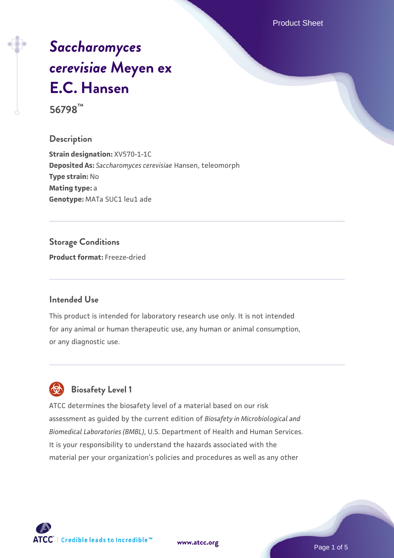Product Sheet

# *[Saccharomyces](https://www.atcc.org/products/56798) [cerevisiae](https://www.atcc.org/products/56798)* **[Meyen ex](https://www.atcc.org/products/56798) [E.C. Hansen](https://www.atcc.org/products/56798)**

**56798™**

**Description**

**Strain designation:** XV570-1-1C **Deposited As:** *Saccharomyces cerevisiae* Hansen, teleomorph **Type strain:** No **Mating type:** a **Genotype:** MATa SUC1 leu1 ade

**Storage Conditions Product format:** Freeze-dried

#### **Intended Use**

This product is intended for laboratory research use only. It is not intended for any animal or human therapeutic use, any human or animal consumption, or any diagnostic use.



### **Biosafety Level 1**

ATCC determines the biosafety level of a material based on our risk assessment as guided by the current edition of *Biosafety in Microbiological and Biomedical Laboratories (BMBL)*, U.S. Department of Health and Human Services. It is your responsibility to understand the hazards associated with the material per your organization's policies and procedures as well as any other

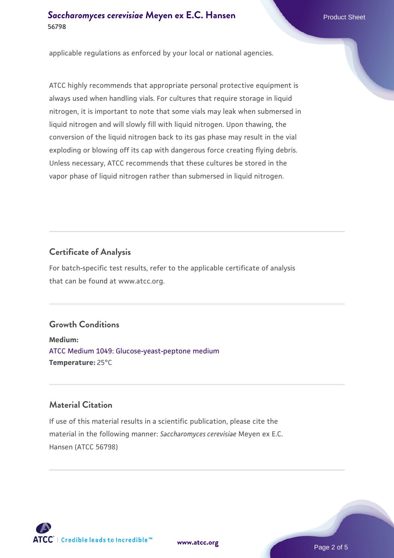#### **[Saccharomyces cerevisiae](https://www.atcc.org/products/56798)** [Meyen ex E.C. Hansen](https://www.atcc.org/products/56798) **56798**

applicable regulations as enforced by your local or national agencies.

ATCC highly recommends that appropriate personal protective equipment is always used when handling vials. For cultures that require storage in liquid nitrogen, it is important to note that some vials may leak when submersed in liquid nitrogen and will slowly fill with liquid nitrogen. Upon thawing, the conversion of the liquid nitrogen back to its gas phase may result in the vial exploding or blowing off its cap with dangerous force creating flying debris. Unless necessary, ATCC recommends that these cultures be stored in the vapor phase of liquid nitrogen rather than submersed in liquid nitrogen.

#### **Certificate of Analysis**

For batch-specific test results, refer to the applicable certificate of analysis that can be found at www.atcc.org.

#### **Growth Conditions**

**Medium:**  [ATCC Medium 1049: Glucose-yeast-peptone medium](https://www.atcc.org/-/media/product-assets/documents/microbial-media-formulations/atcc-medium-1049.pdf?rev=782888acdc004ecfa9dcc3e757b0b85a) **Temperature:** 25°C

#### **Material Citation**

If use of this material results in a scientific publication, please cite the material in the following manner: *Saccharomyces cerevisiae* Meyen ex E.C. Hansen (ATCC 56798)



**[www.atcc.org](http://www.atcc.org)**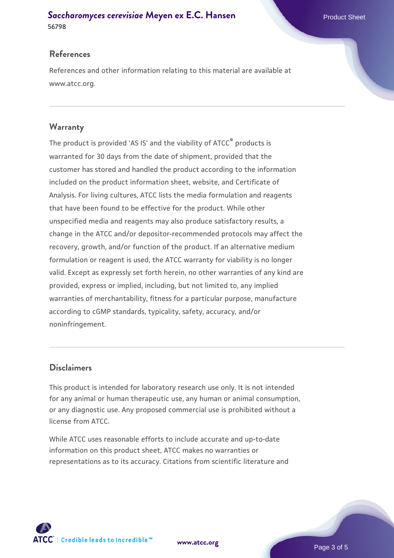#### **[Saccharomyces cerevisiae](https://www.atcc.org/products/56798)** [Meyen ex E.C. Hansen](https://www.atcc.org/products/56798) **56798**

#### **References**

References and other information relating to this material are available at www.atcc.org.

#### **Warranty**

The product is provided 'AS IS' and the viability of ATCC® products is warranted for 30 days from the date of shipment, provided that the customer has stored and handled the product according to the information included on the product information sheet, website, and Certificate of Analysis. For living cultures, ATCC lists the media formulation and reagents that have been found to be effective for the product. While other unspecified media and reagents may also produce satisfactory results, a change in the ATCC and/or depositor-recommended protocols may affect the recovery, growth, and/or function of the product. If an alternative medium formulation or reagent is used, the ATCC warranty for viability is no longer valid. Except as expressly set forth herein, no other warranties of any kind are provided, express or implied, including, but not limited to, any implied warranties of merchantability, fitness for a particular purpose, manufacture according to cGMP standards, typicality, safety, accuracy, and/or noninfringement.

#### **Disclaimers**

This product is intended for laboratory research use only. It is not intended for any animal or human therapeutic use, any human or animal consumption, or any diagnostic use. Any proposed commercial use is prohibited without a license from ATCC.

While ATCC uses reasonable efforts to include accurate and up-to-date information on this product sheet, ATCC makes no warranties or representations as to its accuracy. Citations from scientific literature and



**[www.atcc.org](http://www.atcc.org)**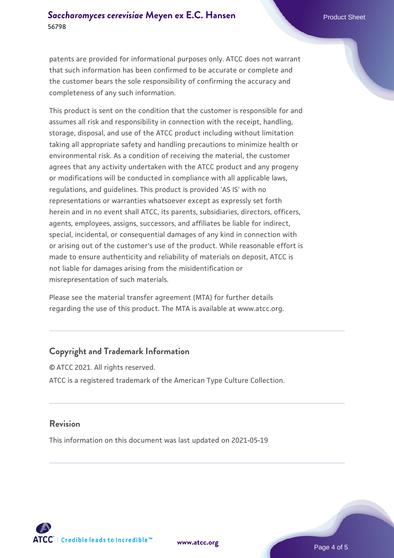patents are provided for informational purposes only. ATCC does not warrant that such information has been confirmed to be accurate or complete and the customer bears the sole responsibility of confirming the accuracy and completeness of any such information.

This product is sent on the condition that the customer is responsible for and assumes all risk and responsibility in connection with the receipt, handling, storage, disposal, and use of the ATCC product including without limitation taking all appropriate safety and handling precautions to minimize health or environmental risk. As a condition of receiving the material, the customer agrees that any activity undertaken with the ATCC product and any progeny or modifications will be conducted in compliance with all applicable laws, regulations, and guidelines. This product is provided 'AS IS' with no representations or warranties whatsoever except as expressly set forth herein and in no event shall ATCC, its parents, subsidiaries, directors, officers, agents, employees, assigns, successors, and affiliates be liable for indirect, special, incidental, or consequential damages of any kind in connection with or arising out of the customer's use of the product. While reasonable effort is made to ensure authenticity and reliability of materials on deposit, ATCC is not liable for damages arising from the misidentification or misrepresentation of such materials.

Please see the material transfer agreement (MTA) for further details regarding the use of this product. The MTA is available at www.atcc.org.

#### **Copyright and Trademark Information**

© ATCC 2021. All rights reserved. ATCC is a registered trademark of the American Type Culture Collection.

#### **Revision**

This information on this document was last updated on 2021-05-19



**[www.atcc.org](http://www.atcc.org)**

Page 4 of 5